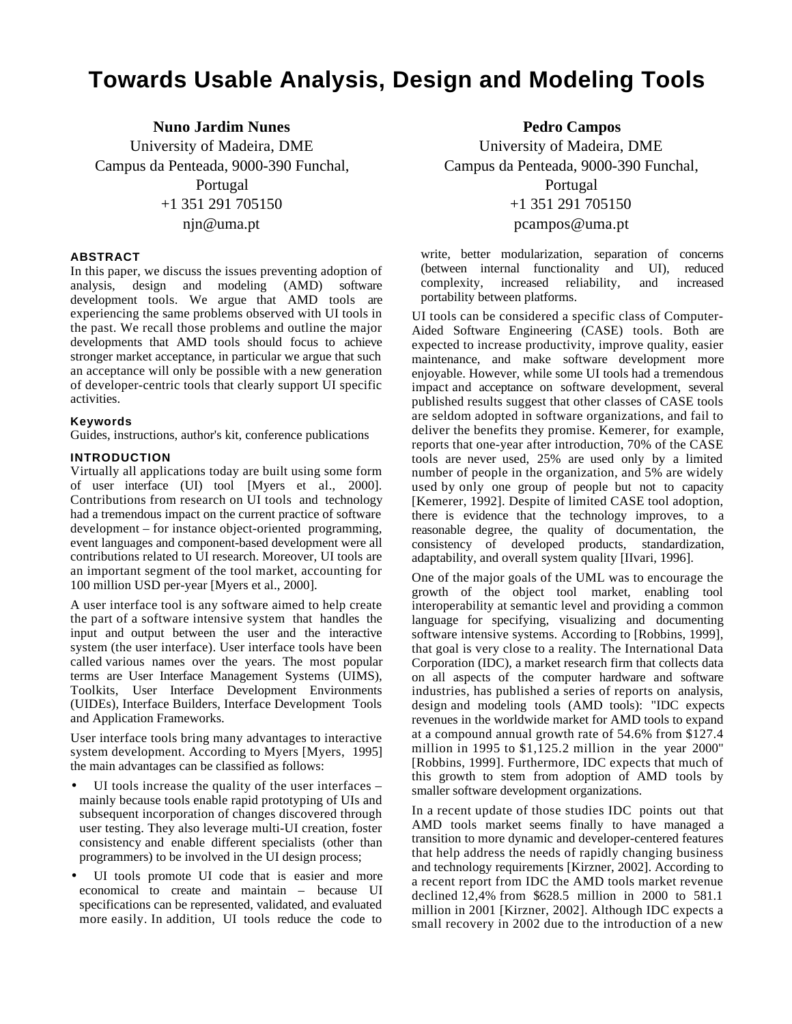# **Towards Usable Analysis, Design and Modeling Tools**

**Nuno Jardim Nunes** University of Madeira, DME Campus da Penteada, 9000-390 Funchal, Portugal +1 351 291 705150 njn@uma.pt

## **ABSTRACT**

In this paper, we discuss the issues preventing adoption of analysis, design and modeling (AMD) software development tools. We argue that AMD tools are experiencing the same problems observed with UI tools in the past. We recall those problems and outline the major developments that AMD tools should focus to achieve stronger market acceptance, in particular we argue that such an acceptance will only be possible with a new generation of developer-centric tools that clearly support UI specific activities.

#### **Keywords**

Guides, instructions, author's kit, conference publications

## **INTRODUCTION**

Virtually all applications today are built using some form of user interface (UI) tool [Myers et al., 2000]. Contributions from research on UI tools and technology had a tremendous impact on the current practice of software development – for instance object-oriented programming, event languages and component-based development were all contributions related to UI research. Moreover, UI tools are an important segment of the tool market, accounting for 100 million USD per-year [Myers et al., 2000].

A user interface tool is any software aimed to help create the part of a software intensive system that handles the input and output between the user and the interactive system (the user interface). User interface tools have been called various names over the years. The most popular terms are User Interface Management Systems (UIMS), Toolkits, User Interface Development Environments (UIDEs), Interface Builders, Interface Development Tools and Application Frameworks.

User interface tools bring many advantages to interactive system development. According to Myers [Myers, 1995] the main advantages can be classified as follows:

- UI tools increase the quality of the user interfaces mainly because tools enable rapid prototyping of UIs and subsequent incorporation of changes discovered through user testing. They also leverage multi-UI creation, foster consistency and enable different specialists (other than programmers) to be involved in the UI design process;
- UI tools promote UI code that is easier and more economical to create and maintain – because UI specifications can be represented, validated, and evaluated more easily. In addition, UI tools reduce the code to

**Pedro Campos**

University of Madeira, DME Campus da Penteada, 9000-390 Funchal, Portugal

+1 351 291 705150

pcampos@uma.pt

write, better modularization, separation of concerns (between internal functionality and UI), reduced complexity, increased reliability, and increased portability between platforms.

UI tools can be considered a specific class of Computer-Aided Software Engineering (CASE) tools. Both are expected to increase productivity, improve quality, easier maintenance, and make software development more enjoyable. However, while some UI tools had a tremendous impact and acceptance on software development, several published results suggest that other classes of CASE tools are seldom adopted in software organizations, and fail to deliver the benefits they promise. Kemerer, for example, reports that one-year after introduction, 70% of the CASE tools are never used, 25% are used only by a limited number of people in the organization, and 5% are widely used by only one group of people but not to capacity [Kemerer, 1992]. Despite of limited CASE tool adoption, there is evidence that the technology improves, to a reasonable degree, the quality of documentation, the consistency of developed products, standardization, adaptability, and overall system quality [IIvari, 1996].

One of the major goals of the UML was to encourage the growth of the object tool market, enabling tool interoperability at semantic level and providing a common language for specifying, visualizing and documenting software intensive systems. According to [Robbins, 1999], that goal is very close to a reality. The International Data Corporation (IDC), a market research firm that collects data on all aspects of the computer hardware and software industries, has published a series of reports on analysis, design and modeling tools (AMD tools): "IDC expects revenues in the worldwide market for AMD tools to expand at a compound annual growth rate of 54.6% from \$127.4 million in 1995 to  $$1,125.2$  million in the year 2000" [Robbins, 1999]. Furthermore, IDC expects that much of this growth to stem from adoption of AMD tools by smaller software development organizations.

In a recent update of those studies IDC points out that AMD tools market seems finally to have managed a transition to more dynamic and developer-centered features that help address the needs of rapidly changing business and technology requirements [Kirzner, 2002]. According to a recent report from IDC the AMD tools market revenue declined 12,4% from \$628.5 million in 2000 to 581.1 million in 2001 [Kirzner, 2002]. Although IDC expects a small recovery in 2002 due to the introduction of a new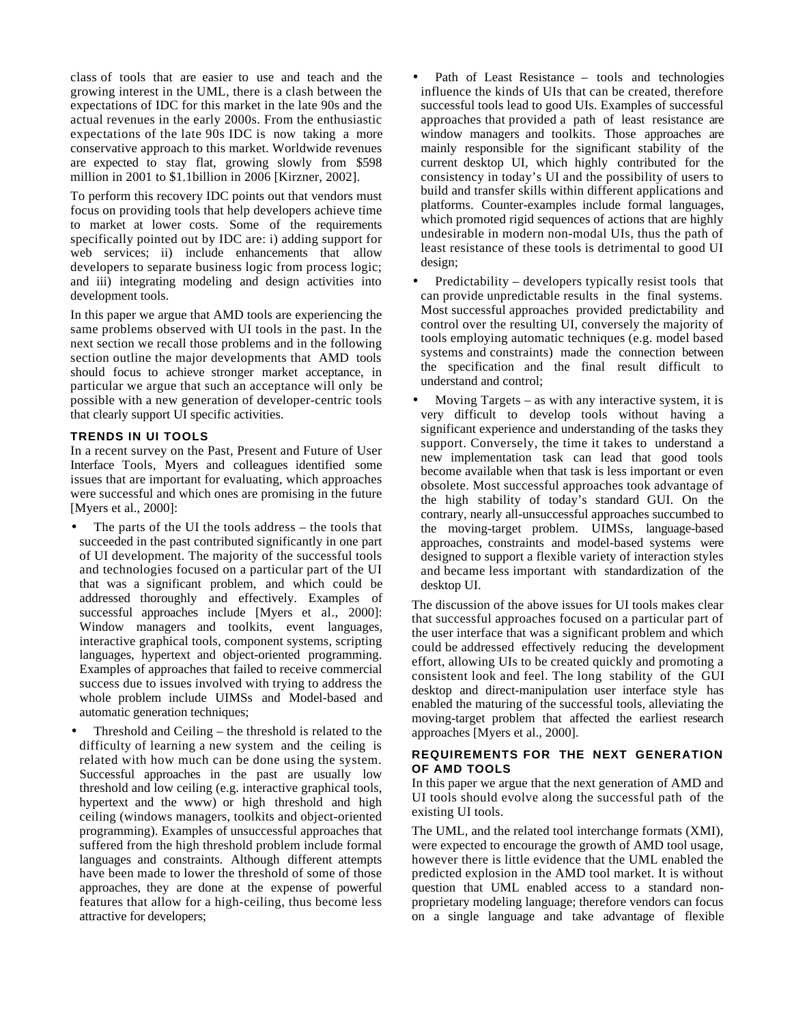class of tools that are easier to use and teach and the growing interest in the UML, there is a clash between the expectations of IDC for this market in the late 90s and the actual revenues in the early 2000s. From the enthusiastic expectations of the late 90s IDC is now taking a more conservative approach to this market. Worldwide revenues are expected to stay flat, growing slowly from \$598 million in 2001 to \$1.1billion in 2006 [Kirzner, 2002].

To perform this recovery IDC points out that vendors must focus on providing tools that help developers achieve time to market at lower costs. Some of the requirements specifically pointed out by IDC are: i) adding support for web services; ii) include enhancements that allow developers to separate business logic from process logic; and iii) integrating modeling and design activities into development tools.

In this paper we argue that AMD tools are experiencing the same problems observed with UI tools in the past. In the next section we recall those problems and in the following section outline the major developments that AMD tools should focus to achieve stronger market acceptance, in particular we argue that such an acceptance will only be possible with a new generation of developer-centric tools that clearly support UI specific activities.

## **TRENDS IN UI TOOLS**

In a recent survey on the Past, Present and Future of User Interface Tools, Myers and colleagues identified some issues that are important for evaluating, which approaches were successful and which ones are promising in the future [Myers et al., 2000]:

- The parts of the UI the tools address the tools that succeeded in the past contributed significantly in one part of UI development. The majority of the successful tools and technologies focused on a particular part of the UI that was a significant problem, and which could be addressed thoroughly and effectively. Examples of successful approaches include [Myers et al., 2000]: Window managers and toolkits, event languages, interactive graphical tools, component systems, scripting languages, hypertext and object-oriented programming. Examples of approaches that failed to receive commercial success due to issues involved with trying to address the whole problem include UIMSs and Model-based and automatic generation techniques;
- Threshold and Ceiling the threshold is related to the difficulty of learning a new system and the ceiling is related with how much can be done using the system. Successful approaches in the past are usually low threshold and low ceiling (e.g. interactive graphical tools, hypertext and the www) or high threshold and high ceiling (windows managers, toolkits and object-oriented programming). Examples of unsuccessful approaches that suffered from the high threshold problem include formal languages and constraints. Although different attempts have been made to lower the threshold of some of those approaches, they are done at the expense of powerful features that allow for a high-ceiling, thus become less attractive for developers;
- Path of Least Resistance tools and technologies influence the kinds of UIs that can be created, therefore successful tools lead to good UIs. Examples of successful approaches that provided a path of least resistance are window managers and toolkits. Those approaches are mainly responsible for the significant stability of the current desktop UI, which highly contributed for the consistency in today's UI and the possibility of users to build and transfer skills within different applications and platforms. Counter-examples include formal languages, which promoted rigid sequences of actions that are highly undesirable in modern non-modal UIs, thus the path of least resistance of these tools is detrimental to good UI design;
- Predictability developers typically resist tools that can provide unpredictable results in the final systems. Most successful approaches provided predictability and control over the resulting UI, conversely the majority of tools employing automatic techniques (e.g. model based systems and constraints) made the connection between the specification and the final result difficult to understand and control;
- Moving Targets  $-$  as with any interactive system, it is very difficult to develop tools without having a significant experience and understanding of the tasks they support. Conversely, the time it takes to understand a new implementation task can lead that good tools become available when that task is less important or even obsolete. Most successful approaches took advantage of the high stability of today's standard GUI. On the contrary, nearly all-unsuccessful approaches succumbed to the moving-target problem. UIMSs, language-based approaches, constraints and model-based systems were designed to support a flexible variety of interaction styles and became less important with standardization of the desktop UI.

The discussion of the above issues for UI tools makes clear that successful approaches focused on a particular part of the user interface that was a significant problem and which could be addressed effectively reducing the development effort, allowing UIs to be created quickly and promoting a consistent look and feel. The long stability of the GUI desktop and direct-manipulation user interface style has enabled the maturing of the successful tools, alleviating the moving-target problem that affected the earliest research approaches [Myers et al., 2000].

#### **REQUIREMENTS FOR THE NEXT GENERATION OF AMD TOOLS**

In this paper we argue that the next generation of AMD and UI tools should evolve along the successful path of the existing UI tools.

The UML, and the related tool interchange formats (XMI), were expected to encourage the growth of AMD tool usage, however there is little evidence that the UML enabled the predicted explosion in the AMD tool market. It is without question that UML enabled access to a standard nonproprietary modeling language; therefore vendors can focus on a single language and take advantage of flexible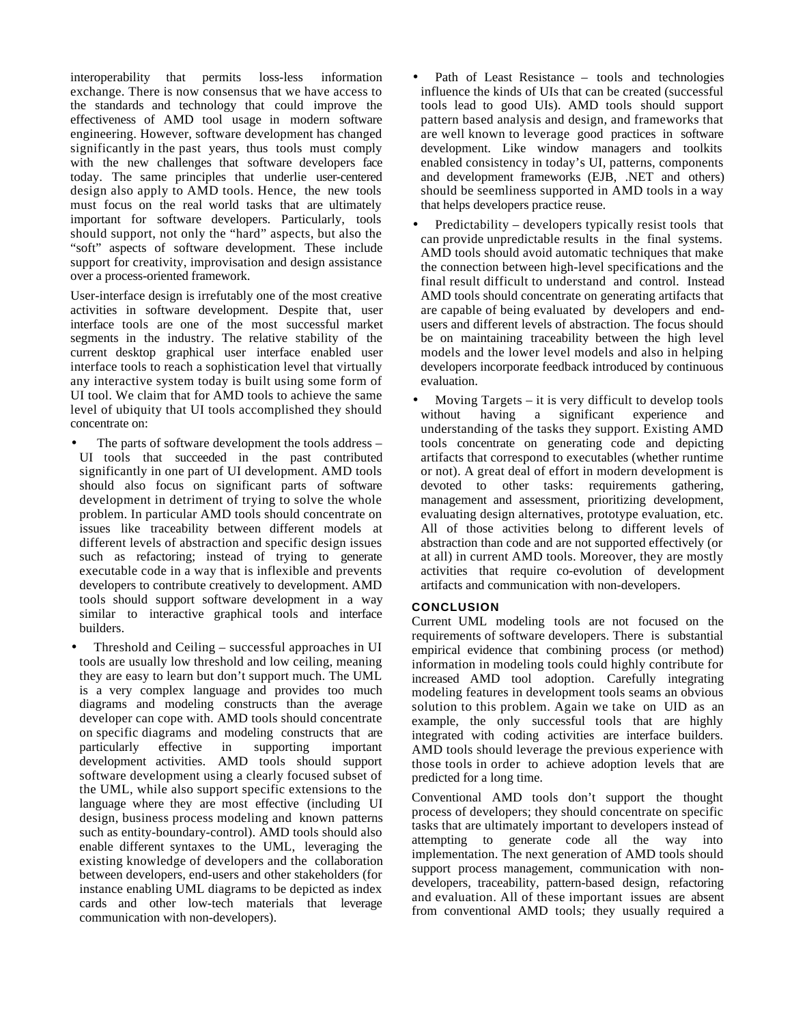interoperability that permits loss-less information exchange. There is now consensus that we have access to the standards and technology that could improve the effectiveness of AMD tool usage in modern software engineering. However, software development has changed significantly in the past years, thus tools must comply with the new challenges that software developers face today. The same principles that underlie user-centered design also apply to AMD tools. Hence, the new tools must focus on the real world tasks that are ultimately important for software developers. Particularly, tools should support, not only the "hard" aspects, but also the "soft" aspects of software development. These include support for creativity, improvisation and design assistance over a process-oriented framework.

User-interface design is irrefutably one of the most creative activities in software development. Despite that, user interface tools are one of the most successful market segments in the industry. The relative stability of the current desktop graphical user interface enabled user interface tools to reach a sophistication level that virtually any interactive system today is built using some form of UI tool. We claim that for AMD tools to achieve the same level of ubiquity that UI tools accomplished they should concentrate on:

- The parts of software development the tools address UI tools that succeeded in the past contributed significantly in one part of UI development. AMD tools should also focus on significant parts of software development in detriment of trying to solve the whole problem. In particular AMD tools should concentrate on issues like traceability between different models at different levels of abstraction and specific design issues such as refactoring; instead of trying to generate executable code in a way that is inflexible and prevents developers to contribute creatively to development. AMD tools should support software development in a way similar to interactive graphical tools and interface builders.
- Threshold and Ceiling successful approaches in UI tools are usually low threshold and low ceiling, meaning they are easy to learn but don't support much. The UML is a very complex language and provides too much diagrams and modeling constructs than the average developer can cope with. AMD tools should concentrate on specific diagrams and modeling constructs that are particularly effective in supporting important development activities. AMD tools should support software development using a clearly focused subset of the UML, while also support specific extensions to the language where they are most effective (including UI design, business process modeling and known patterns such as entity-boundary-control). AMD tools should also enable different syntaxes to the UML, leveraging the existing knowledge of developers and the collaboration between developers, end-users and other stakeholders (for instance enabling UML diagrams to be depicted as index cards and other low-tech materials that leverage communication with non-developers).
- Path of Least Resistance tools and technologies influence the kinds of UIs that can be created (successful tools lead to good UIs). AMD tools should support pattern based analysis and design, and frameworks that are well known to leverage good practices in software development. Like window managers and toolkits enabled consistency in today's UI, patterns, components and development frameworks (EJB, .NET and others) should be seemliness supported in AMD tools in a way that helps developers practice reuse.
- Predictability developers typically resist tools that can provide unpredictable results in the final systems. AMD tools should avoid automatic techniques that make the connection between high-level specifications and the final result difficult to understand and control. Instead AMD tools should concentrate on generating artifacts that are capable of being evaluated by developers and endusers and different levels of abstraction. The focus should be on maintaining traceability between the high level models and the lower level models and also in helping developers incorporate feedback introduced by continuous evaluation.
- Moving Targets it is very difficult to develop tools thout having a significant experience and without having a significant experience and understanding of the tasks they support. Existing AMD tools concentrate on generating code and depicting artifacts that correspond to executables (whether runtime or not). A great deal of effort in modern development is devoted to other tasks: requirements gathering, management and assessment, prioritizing development, evaluating design alternatives, prototype evaluation, etc. All of those activities belong to different levels of abstraction than code and are not supported effectively (or at all) in current AMD tools. Moreover, they are mostly activities that require co-evolution of development artifacts and communication with non-developers.

# **CONCLUSION**

Current UML modeling tools are not focused on the requirements of software developers. There is substantial empirical evidence that combining process (or method) information in modeling tools could highly contribute for increased AMD tool adoption. Carefully integrating modeling features in development tools seams an obvious solution to this problem. Again we take on UID as an example, the only successful tools that are highly integrated with coding activities are interface builders. AMD tools should leverage the previous experience with those tools in order to achieve adoption levels that are predicted for a long time.

Conventional AMD tools don't support the thought process of developers; they should concentrate on specific tasks that are ultimately important to developers instead of attempting to generate code all the way into implementation. The next generation of AMD tools should support process management, communication with nondevelopers, traceability, pattern-based design, refactoring and evaluation. All of these important issues are absent from conventional AMD tools; they usually required a